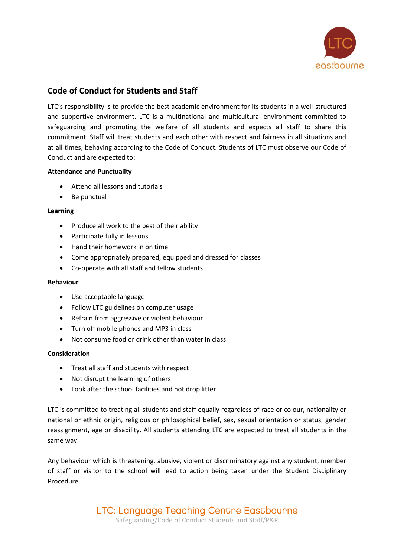

# **Code of Conduct for Students and Staff**

LTC's responsibility is to provide the best academic environment for its students in a well-structured and supportive environment. LTC is a multinational and multicultural environment committed to safeguarding and promoting the welfare of all students and expects all staff to share this commitment. Staff will treat students and each other with respect and fairness in all situations and at all times, behaving according to the Code of Conduct. Students of LTC must observe our Code of Conduct and are expected to:

### **Attendance and Punctuality**

- Attend all lessons and tutorials
- Be punctual

#### **Learning**

- Produce all work to the best of their ability
- Participate fully in lessons
- Hand their homework in on time
- Come appropriately prepared, equipped and dressed for classes
- Co-operate with all staff and fellow students

#### **Behaviour**

- Use acceptable language
- Follow LTC guidelines on computer usage
- Refrain from aggressive or violent behaviour
- Turn off mobile phones and MP3 in class
- Not consume food or drink other than water in class

#### **Consideration**

- Treat all staff and students with respect
- Not disrupt the learning of others
- Look after the school facilities and not drop litter

LTC is committed to treating all students and staff equally regardless of race or colour, nationality or national or ethnic origin, religious or philosophical belief, sex, sexual orientation or status, gender reassignment, age or disability. All students attending LTC are expected to treat all students in the same way.

Any behaviour which is threatening, abusive, violent or discriminatory against any student, member of staff or visitor to the school will lead to action being taken under the Student Disciplinary Procedure.